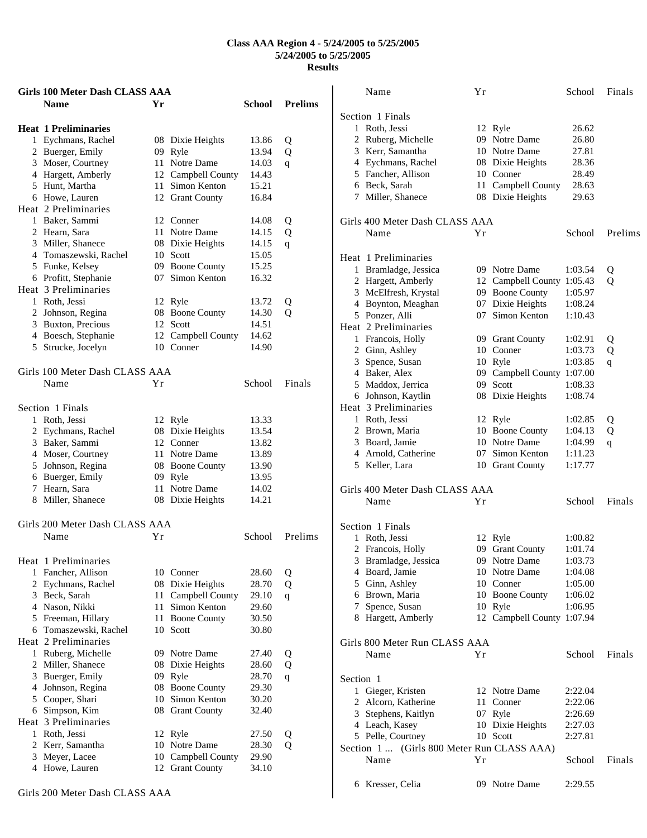|   | <b>Girls 100 Meter Dash CLASS AAA</b> |    |                     |        |                |
|---|---------------------------------------|----|---------------------|--------|----------------|
|   | <b>Name</b>                           | Yr |                     | School | <b>Prelims</b> |
|   | <b>Heat 1 Preliminaries</b>           |    |                     |        |                |
|   | 1 Eychmans, Rachel                    |    | 08 Dixie Heights    | 13.86  | Q              |
|   | 2 Buerger, Emily                      |    | 09 Ryle             | 13.94  | Q              |
|   | 3 Moser, Courtney                     |    | 11 Notre Dame       | 14.03  | q              |
|   | 4 Hargett, Amberly                    |    | 12 Campbell County  | 14.43  |                |
|   | 5 Hunt, Martha                        |    | 11 Simon Kenton     | 15.21  |                |
|   | 6 Howe, Lauren                        |    | 12 Grant County     | 16.84  |                |
|   | Heat 2 Preliminaries                  |    |                     |        |                |
|   | 1 Baker, Sammi                        |    | 12 Conner           | 14.08  | Q              |
|   | 2 Hearn, Sara                         |    | 11 Notre Dame       | 14.15  | Q              |
|   | 3 Miller, Shanece                     |    | 08 Dixie Heights    | 14.15  | q              |
|   | 4 Tomaszewski, Rachel                 |    | 10 Scott            | 15.05  |                |
|   | 5 Funke, Kelsey                       |    | 09 Boone County     | 15.25  |                |
|   | 6 Profitt, Stephanie                  |    | 07 Simon Kenton     | 16.32  |                |
|   | Heat 3 Preliminaries                  |    |                     |        |                |
|   | 1 Roth, Jessi                         |    | 12 Ryle             | 13.72  | Q              |
|   | 2 Johnson, Regina                     |    | 08 Boone County     | 14.30  | Q              |
|   | 3 Buxton, Precious                    |    | 12 Scott            | 14.51  |                |
|   | 4 Boesch, Stephanie                   |    | 12 Campbell County  | 14.62  |                |
|   | 5 Strucke, Jocelyn                    |    | 10 Conner           | 14.90  |                |
|   | Girls 100 Meter Dash CLASS AAA        |    |                     |        |                |
|   | Name                                  | Υr |                     | School | Finals         |
|   |                                       |    |                     |        |                |
|   | Section 1 Finals                      |    |                     |        |                |
|   | 1 Roth, Jessi                         |    | 12 Ryle             | 13.33  |                |
|   | 2 Eychmans, Rachel                    |    | 08 Dixie Heights    | 13.54  |                |
|   | 3 Baker, Sammi                        |    | 12 Conner           | 13.82  |                |
|   | 4 Moser, Courtney                     |    | 11 Notre Dame       | 13.89  |                |
|   | 5 Johnson, Regina                     |    | 08 Boone County     | 13.90  |                |
|   | 6 Buerger, Emily                      |    | 09 Ryle             | 13.95  |                |
|   | 7 Hearn, Sara                         |    | 11 Notre Dame       | 14.02  |                |
|   | 8 Miller, Shanece                     |    | 08 Dixie Heights    | 14.21  |                |
|   |                                       |    |                     |        |                |
|   | Girls 200 Meter Dash CLASS AAA        |    |                     |        |                |
|   | Name                                  | Υr |                     | School | Prelims        |
|   | Heat 1 Preliminaries                  |    |                     |        |                |
|   | 1 Fancher, Allison                    |    | 10 Conner           | 28.60  | Q              |
|   | 2 Eychmans, Rachel                    |    | 08 Dixie Heights    | 28.70  | Q              |
|   | 3 Beck, Sarah                         | 11 | Campbell County     | 29.10  | q              |
|   | 4 Nason, Nikki                        | 11 | Simon Kenton        | 29.60  |                |
|   | 5 Freeman, Hillary                    | 11 | <b>Boone County</b> | 30.50  |                |
|   | 6 Tomaszewski, Rachel                 | 10 | Scott               | 30.80  |                |
|   | Heat 2 Preliminaries                  |    |                     |        |                |
|   | 1 Ruberg, Michelle                    |    | 09 Notre Dame       | 27.40  | Q              |
|   | 2 Miller, Shanece                     | 08 | Dixie Heights       | 28.60  | Q              |
|   | 3 Buerger, Emily                      | 09 | Ryle                | 28.70  | $\mathbf{q}$   |
| 4 | Johnson, Regina                       | 08 | <b>Boone County</b> | 29.30  |                |
|   | 5 Cooper, Shari                       | 10 | Simon Kenton        | 30.20  |                |
|   | 6 Simpson, Kim                        | 08 | <b>Grant County</b> | 32.40  |                |
|   | Heat 3 Preliminaries                  |    |                     |        |                |
|   | 1 Roth, Jessi                         |    | 12 Ryle             | 27.50  | Q              |
|   | 2 Kerr, Samantha                      | 10 | Notre Dame          | 28.30  | Q              |
| 3 | Meyer, Lacee                          | 10 | Campbell County     | 29.90  |                |
|   | 4 Howe, Lauren                        |    | 12 Grant County     | 34.10  |                |
|   |                                       |    |                     |        |                |

| Name                                                                                                                                                                          | Yr |                                                                                                                                       | School                                                                    | Finals      |
|-------------------------------------------------------------------------------------------------------------------------------------------------------------------------------|----|---------------------------------------------------------------------------------------------------------------------------------------|---------------------------------------------------------------------------|-------------|
| Section 1 Finals<br>1 Roth, Jessi<br>2 Ruberg, Michelle<br>3 Kerr, Samantha<br>4 Eychmans, Rachel<br>5 Fancher, Allison<br>6 Beck, Sarah<br>7 Miller, Shanece                 |    | 12 Ryle<br>09 Notre Dame<br>10 Notre Dame<br>08 Dixie Heights<br>10 Conner<br>11 Campbell County<br>08 Dixie Heights                  | 26.62<br>26.80<br>27.81<br>28.36<br>28.49<br>28.63<br>29.63               |             |
| Girls 400 Meter Dash CLASS AAA<br>Name                                                                                                                                        | Υr |                                                                                                                                       | School                                                                    | Prelims     |
| Heat 1 Preliminaries<br>1 Bramladge, Jessica<br>2 Hargett, Amberly<br>3 McElfresh, Krystal<br>4 Boynton, Meaghan<br>5 Ponzer, Alli                                            |    | 09 Notre Dame<br>12 Campbell County 1:05.43<br>09 Boone County<br>07 Dixie Heights<br>07 Simon Kenton                                 | 1:03.54<br>1:05.97<br>1:08.24<br>1:10.43                                  | Q<br>Q      |
| Heat 2 Preliminaries<br>1 Francois, Holly<br>2 Ginn, Ashley<br>3 Spence, Susan<br>4 Baker, Alex<br>5 Maddox, Jerrica<br>6 Johnson, Kaytlin                                    |    | 09 Grant County<br>10 Conner<br>10 Ryle<br>09 Campbell County 1:07.00<br>09 Scott<br>08 Dixie Heights                                 | 1:02.91<br>1:03.73<br>1:03.85<br>1:08.33<br>1:08.74                       | Q<br>Q<br>q |
| Heat 3 Preliminaries<br>1 Roth, Jessi<br>2 Brown, Maria<br>3 Board, Jamie<br>4 Arnold, Catherine<br>5 Keller, Lara                                                            |    | 12 Ryle<br>10 Boone County<br>10 Notre Dame<br>07 Simon Kenton<br>10 Grant County                                                     | 1:02.85<br>1:04.13<br>1:04.99<br>1:11.23<br>1:17.77                       | Q<br>Q<br>q |
| Girls 400 Meter Dash CLASS AAA<br>Name                                                                                                                                        | Yr |                                                                                                                                       | School                                                                    | Finals      |
| Section 1 Finals<br>1 Roth, Jessi<br>2 Francois, Holly<br>3 Bramladge, Jessica<br>4 Board, Jamie<br>5 Ginn, Ashley<br>6 Brown, Maria<br>7 Spence, Susan<br>8 Hargett, Amberly |    | 12 Ryle<br>09 Grant County<br>09 Notre Dame<br>10 Notre Dame<br>10 Conner<br>10 Boone County<br>10 Ryle<br>12 Campbell County 1:07.94 | 1:00.82<br>1:01.74<br>1:03.73<br>1:04.08<br>1:05.00<br>1:06.02<br>1:06.95 |             |
| Girls 800 Meter Run CLASS AAA<br>Name                                                                                                                                         | Υr |                                                                                                                                       | School                                                                    | Finals      |
| Section 1<br>1 Gieger, Kristen<br>2 Alcorn, Katherine<br>3 Stephens, Kaitlyn<br>4 Leach, Kasey<br>5 Pelle, Courtney<br>Section 1  (Girls 800 Meter Run CLASS AAA)             |    | 12 Notre Dame<br>11 Conner<br>07 Ryle<br>10 Dixie Heights<br>10 Scott                                                                 | 2:22.04<br>2:22.06<br>2:26.69<br>2:27.03<br>2:27.81                       |             |
| Name<br>6 Kresser, Celia                                                                                                                                                      | Υr | 09 Notre Dame                                                                                                                         | School<br>2:29.55                                                         | Finals      |
|                                                                                                                                                                               |    |                                                                                                                                       |                                                                           |             |

Girls 200 Meter Dash CLASS AAA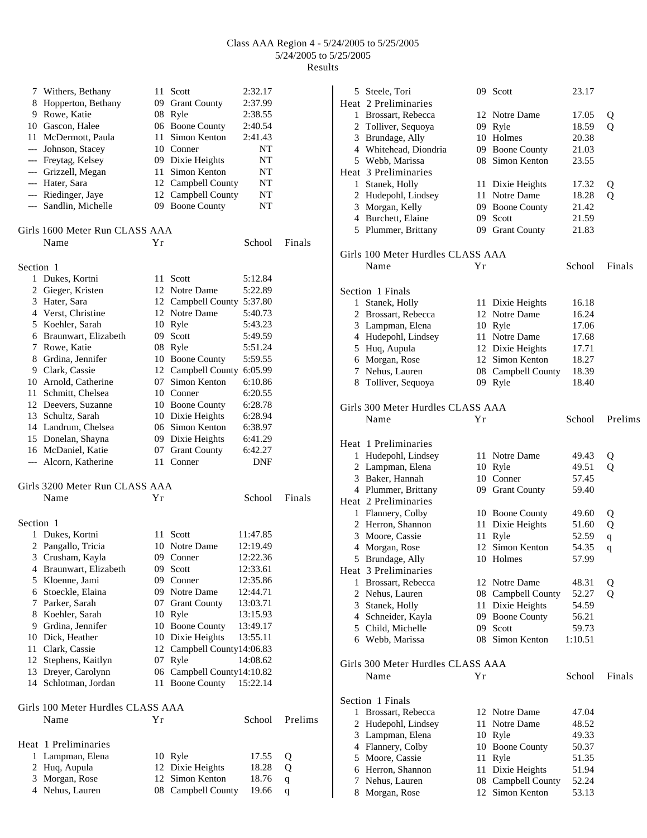|           | 7 Withers, Bethany                | 11     | Scott                      | 2:32.17  |             |
|-----------|-----------------------------------|--------|----------------------------|----------|-------------|
|           | 8 Hopperton, Bethany              |        | 09 Grant County            | 2:37.99  |             |
|           | 9 Rowe, Katie                     | 08     | Ryle                       | 2:38.55  |             |
|           | 10 Gascon, Halee                  |        | 06 Boone County            | 2:40.54  |             |
|           | 11 McDermott, Paula               | 11     | Simon Kenton               | 2:41.43  |             |
|           | --- Johnson, Stacey               |        | 10 Conner                  | NT       |             |
|           | --- Freytag, Kelsey               |        | 09 Dixie Heights           | NT       |             |
|           | --- Grizzell, Megan               | 11     | Simon Kenton               | NT       |             |
|           | --- Hater, Sara                   |        | 12 Campbell County         | NT       |             |
|           | --- Riedinger, Jaye               |        | 12 Campbell County         | NT       |             |
|           | --- Sandlin, Michelle             |        | 09 Boone County            | NT       |             |
|           |                                   |        |                            |          |             |
|           | Girls 1600 Meter Run CLASS AAA    |        |                            |          |             |
|           | Name                              | Υr     |                            | School   | Finals      |
|           |                                   |        |                            |          |             |
| Section 1 |                                   |        |                            |          |             |
| 1         | Dukes, Kortni                     |        | 11 Scott                   | 5:12.84  |             |
|           | 2 Gieger, Kristen                 |        | 12 Notre Dame              | 5:22.89  |             |
|           | 3 Hater, Sara                     |        | 12 Campbell County 5:37.80 |          |             |
|           | 4 Verst, Christine                |        | 12 Notre Dame              | 5:40.73  |             |
|           | 5 Koehler, Sarah                  |        | 10 Ryle                    | 5:43.23  |             |
|           | 6 Braunwart, Elizabeth            |        | 09 Scott                   | 5:49.59  |             |
|           | 7 Rowe, Katie                     |        | 08 Ryle                    | 5:51.24  |             |
|           | 8 Grdina, Jennifer                | 10     | <b>Boone County</b>        | 5:59.55  |             |
|           | 9 Clark, Cassie                   | 12     | Campbell County            | 6:05.99  |             |
|           | 10 Arnold, Catherine              | 07     | Simon Kenton               | 6:10.86  |             |
|           | 11 Schmitt, Chelsea               |        | 10 Conner                  | 6:20.55  |             |
|           | 12 Deevers, Suzanne               |        | 10 Boone County            | 6:28.78  |             |
|           | 13 Schultz, Sarah                 |        | 10 Dixie Heights           | 6:28.94  |             |
|           | 14 Landrum, Chelsea               |        | 06 Simon Kenton            | 6:38.97  |             |
|           | 15 Donelan, Shayna                |        | 09 Dixie Heights           | 6:41.29  |             |
|           | 16 McDaniel, Katie                |        | 07 Grant County            | 6:42.27  |             |
|           | --- Alcorn, Katherine             | 11     | Conner                     | DNF      |             |
|           |                                   |        |                            |          |             |
|           | Girls 3200 Meter Run CLASS AAA    |        |                            |          |             |
|           | Name                              | Υr     |                            | School   | Finals      |
|           |                                   |        |                            |          |             |
| Section 1 |                                   |        |                            |          |             |
| 1         | Dukes, Kortni                     | 11     | Scott                      | 11:47.85 |             |
|           | 2 Pangallo, Tricia                |        | 10 Notre Dame              | 12:19.49 |             |
|           | 3 Crusham, Kayla                  |        | 09 Conner                  | 12:22.36 |             |
|           | 4 Braunwart, Elizabeth            |        | 09 Scott                   | 12:33.61 |             |
|           | 5 Kloenne, Jami                   | 09     | Conner                     | 12:35.86 |             |
|           | 6 Stoeckle, Elaina                | 09     | Notre Dame                 | 12:44.71 |             |
|           | 7 Parker, Sarah                   | 07     | <b>Grant County</b>        | 13:03.71 |             |
|           | 8 Koehler, Sarah                  |        | 10 Ryle                    | 13:15.93 |             |
|           | 9 Grdina, Jennifer                |        | 10 Boone County            | 13:49.17 |             |
|           | 10 Dick, Heather                  |        | 10 Dixie Heights           | 13:55.11 |             |
|           | 11 Clark, Cassie                  | 12     | Campbell County14:06.83    |          |             |
|           | 12 Stephens, Kaitlyn              | 07     |                            |          |             |
|           |                                   | $06\,$ | Ryle                       | 14:08.62 |             |
|           | 13 Dreyer, Carolynn               |        | Campbell County14:10.82    |          |             |
|           | 14 Schlotman, Jordan              | 11     | <b>Boone County</b>        | 15:22.14 |             |
|           |                                   |        |                            |          |             |
|           | Girls 100 Meter Hurdles CLASS AAA |        |                            |          |             |
|           | Name                              | Υr     |                            | School   | Prelims     |
|           |                                   |        |                            |          |             |
|           | Heat 1 Preliminaries              |        |                            |          |             |
| 1         | Lampman, Elena                    |        | 10 Ryle                    | 17.55    | Q           |
|           | 2 Huq, Aupula                     |        | 12 Dixie Heights           | 18.28    | Q           |
|           | 3 Morgan, Rose                    | 12     | Simon Kenton               | 18.76    | $\mathbf q$ |
|           | 4 Nehus, Lauren                   | 08     | Campbell County            | 19.66    | q           |

|   | 5 Steele, Tori                    |    | 09 Scott           | 23.17   |             |
|---|-----------------------------------|----|--------------------|---------|-------------|
|   | Heat 2 Preliminaries              |    |                    |         |             |
|   | 1 Brossart, Rebecca               |    | 12 Notre Dame      | 17.05   | Q           |
|   | 2 Tolliver, Sequoya               |    | 09 Ryle            | 18.59   | Q           |
|   | 3 Brundage, Ally                  |    | 10 Holmes          | 20.38   |             |
|   | 4 Whitehead, Diondria             |    | 09 Boone County    | 21.03   |             |
|   | 5 Webb, Marissa                   |    | 08 Simon Kenton    | 23.55   |             |
|   | Heat 3 Preliminaries              |    |                    |         |             |
| 1 | Stanek, Holly                     |    | 11 Dixie Heights   | 17.32   | Q           |
|   | 2 Hudepohl, Lindsey               |    | 11 Notre Dame      | 18.28   | Q           |
|   | 3 Morgan, Kelly                   |    | 09 Boone County    | 21.42   |             |
|   | 4 Burchett, Elaine                |    | 09 Scott           | 21.59   |             |
|   | 5 Plummer, Brittany               |    | 09 Grant County    | 21.83   |             |
|   |                                   |    |                    |         |             |
|   | Girls 100 Meter Hurdles CLASS AAA |    |                    |         |             |
|   | Name                              | Υr |                    | School  | Finals      |
|   | Section 1 Finals                  |    |                    |         |             |
| 1 | Stanek, Holly                     |    | 11 Dixie Heights   | 16.18   |             |
|   | 2 Brossart, Rebecca               |    | 12 Notre Dame      | 16.24   |             |
|   | 3 Lampman, Elena                  |    | 10 Ryle            | 17.06   |             |
|   | 4 Hudepohl, Lindsey               |    | 11 Notre Dame      | 17.68   |             |
|   | 5 Huq, Aupula                     |    | 12 Dixie Heights   | 17.71   |             |
|   | 6 Morgan, Rose                    |    | 12 Simon Kenton    | 18.27   |             |
|   | 7 Nehus, Lauren                   |    | 08 Campbell County | 18.39   |             |
|   |                                   |    |                    |         |             |
|   | 8 Tolliver, Sequoya               |    | 09 Ryle            | 18.40   |             |
|   | Girls 300 Meter Hurdles CLASS AAA |    |                    |         |             |
|   | Name                              | Υr |                    | School  | Prelims     |
|   | Heat 1 Preliminaries              |    |                    |         |             |
|   | 1 Hudepohl, Lindsey               |    | 11 Notre Dame      | 49.43   | Q           |
|   | 2 Lampman, Elena                  |    | 10 Ryle            | 49.51   | Q           |
|   | 3 Baker, Hannah                   |    | 10 Conner          | 57.45   |             |
|   | 4 Plummer, Brittany               |    | 09 Grant County    | 59.40   |             |
|   | Heat 2 Preliminaries              |    |                    |         |             |
|   | 1 Flannery, Colby                 |    | 10 Boone County    | 49.60   | Q           |
|   | 2 Herron, Shannon                 | 11 | Dixie Heights      | 51.60   |             |
|   |                                   |    |                    |         | Q           |
|   | 3 Moore, Cassie                   | 11 | Ryle               | 52.59   | $\mathbf q$ |
|   | 4 Morgan, Rose                    |    | 12 Simon Kenton    | 54.35   | q           |
|   | 5 Brundage, Ally                  |    | 10 Holmes          | 57.99   |             |
|   | Heat 3 Preliminaries              |    |                    |         |             |
|   | 1 Brossart, Rebecca               |    | 12 Notre Dame      | 48.31   | Q           |
|   | 2 Nehus, Lauren                   |    | 08 Campbell County | 52.27   | Q           |
|   | 3 Stanek, Holly                   |    | 11 Dixie Heights   | 54.59   |             |
|   | 4 Schneider, Kayla                |    | 09 Boone County    | 56.21   |             |
|   | 5 Child, Michelle                 |    | 09 Scott           | 59.73   |             |
|   | 6 Webb, Marissa                   |    | 08 Simon Kenton    | 1:10.51 |             |
|   | Girls 300 Meter Hurdles CLASS AAA |    |                    |         |             |
|   | Name                              | Υr |                    | School  | Finals      |
|   |                                   |    |                    |         |             |
|   | Section 1 Finals                  |    |                    |         |             |
|   | 1 Brossart, Rebecca               |    | 12 Notre Dame      | 47.04   |             |
|   | 2 Hudepohl, Lindsey               |    | 11 Notre Dame      | 48.52   |             |
|   | 3 Lampman, Elena                  |    | 10 Ryle            | 49.33   |             |
|   | 4 Flannery, Colby                 |    | 10 Boone County    | 50.37   |             |
|   | 5 Moore, Cassie                   | 11 | Ryle               | 51.35   |             |
|   | 6 Herron, Shannon                 |    | 11 Dixie Heights   | 51.94   |             |
|   | 7 Nehus, Lauren                   |    | 08 Campbell County | 52.24   |             |
|   | 8 Morgan, Rose                    |    | 12 Simon Kenton    | 53.13   |             |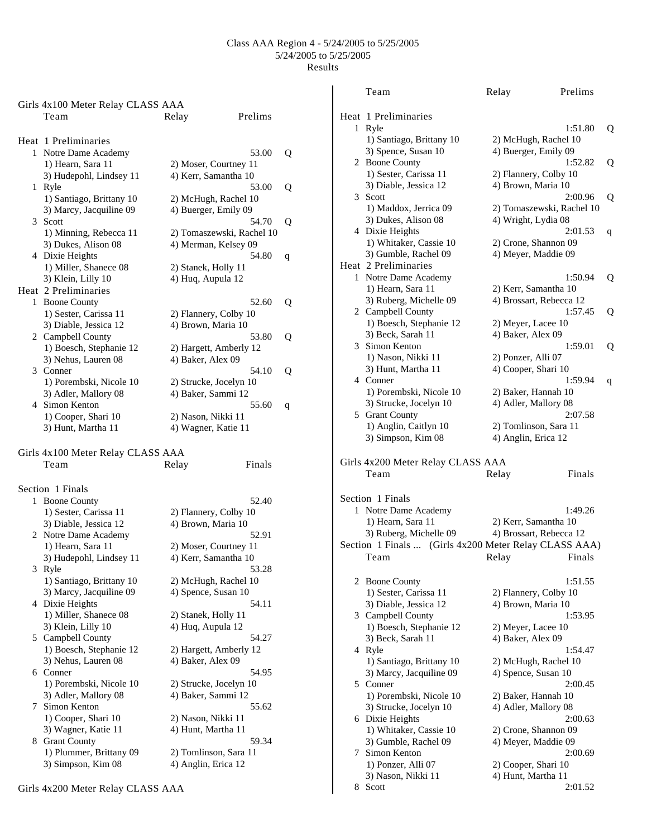|   | Girls 4x100 Meter Relay CLASS AAA               |                                              |         |   |
|---|-------------------------------------------------|----------------------------------------------|---------|---|
|   | Team                                            | Relay                                        | Prelims |   |
|   | Heat 1 Preliminaries                            |                                              |         |   |
|   | 1 Notre Dame Academy                            |                                              | 53.00   | Q |
|   | 1) Hearn, Sara 11                               | 2) Moser, Courtney 11                        |         |   |
|   | 3) Hudepohl, Lindsey 11                         | 4) Kerr, Samantha 10                         |         |   |
|   | 1 Ryle                                          |                                              | 53.00   | Q |
|   | 1) Santiago, Brittany 10                        | 2) McHugh, Rachel 10                         |         |   |
|   | 3) Marcy, Jacquiline 09                         | 4) Buerger, Emily 09                         |         |   |
|   | 3 Scott                                         |                                              | 54.70   | Q |
|   | 1) Minning, Rebecca 11                          | 2) Tomaszewski, Rachel 10                    |         |   |
|   | 3) Dukes, Alison 08                             | 4) Merman, Kelsey 09                         |         |   |
|   | 4 Dixie Heights                                 |                                              | 54.80   | q |
|   | 1) Miller, Shanece 08                           | 2) Stanek, Holly 11                          |         |   |
|   | 3) Klein, Lilly 10                              | 4) Huq, Aupula 12                            |         |   |
|   | Heat 2 Preliminaries                            |                                              |         |   |
|   | 1 Boone County                                  |                                              | 52.60   | Q |
|   | 1) Sester, Carissa 11                           | 2) Flannery, Colby 10                        |         |   |
|   | 3) Diable, Jessica 12                           | 4) Brown, Maria 10                           |         |   |
|   | 2 Campbell County                               |                                              | 53.80   | Q |
|   | 1) Boesch, Stephanie 12                         | 2) Hargett, Amberly 12                       |         |   |
|   | 3) Nehus, Lauren 08                             | 4) Baker, Alex 09                            |         |   |
|   | 3 Conner                                        |                                              | 54.10   | Q |
|   | 1) Porembski, Nicole 10<br>3) Adler, Mallory 08 | 2) Strucke, Jocelyn 10<br>4) Baker, Sammi 12 |         |   |
|   | 4 Simon Kenton                                  |                                              | 55.60   |   |
|   | 1) Cooper, Shari 10                             | 2) Nason, Nikki 11                           |         | q |
|   | 3) Hunt, Martha 11                              | 4) Wagner, Katie 11                          |         |   |
|   |                                                 |                                              |         |   |
|   | Girls 4x100 Meter Relay CLASS AAA               |                                              |         |   |
|   | Team                                            | Relay                                        | Finals  |   |
|   | Section 1 Finals                                |                                              |         |   |
|   | 1 Boone County                                  |                                              | 52.40   |   |
|   | 1) Sester, Carissa 11                           | 2) Flannery, Colby 10                        |         |   |
|   | 3) Diable, Jessica 12                           | 4) Brown, Maria 10                           |         |   |
|   | 2 Notre Dame Academy                            |                                              | 52.91   |   |
|   | 1) Hearn, Sara 11                               | 2) Moser, Courtney 11                        |         |   |
|   | 3) Hudepohl, Lindsey 11                         | 4) Kerr, Samantha 10                         |         |   |
|   | 3 Ryle                                          |                                              | 53.28   |   |
|   | 1) Santiago, Brittany 10                        | 2) McHugh, Rachel 10                         |         |   |
|   | 3) Marcy, Jacquiline 09                         | 4) Spence, Susan 10                          |         |   |
|   | 4 Dixie Heights                                 |                                              | 54.11   |   |
|   | 1) Miller, Shanece 08                           | 2) Stanek, Holly 11                          |         |   |
|   | 3) Klein, Lilly 10                              | 4) Huq, Aupula 12                            |         |   |
|   | 5 Campbell County                               |                                              | 54.27   |   |
|   | 1) Boesch, Stephanie 12                         | 2) Hargett, Amberly 12                       |         |   |
|   | 3) Nehus, Lauren 08                             | 4) Baker, Alex 09                            |         |   |
|   | 6 Conner                                        |                                              | 54.95   |   |
|   | 1) Porembski, Nicole 10                         | 2) Strucke, Jocelyn 10                       |         |   |
|   | 3) Adler, Mallory 08                            | 4) Baker, Sammi 12                           |         |   |
| 7 | Simon Kenton                                    |                                              | 55.62   |   |
|   | 1) Cooper, Shari 10                             | 2) Nason, Nikki 11                           |         |   |
|   | 3) Wagner, Katie 11                             | 4) Hunt, Martha 11                           |         |   |
|   | 8 Grant County                                  |                                              | 59.34   |   |
|   | 1) Plummer, Brittany 09                         | 2) Tomlinson, Sara 11                        |         |   |
|   | 3) Simpson, Kim 08                              | 4) Anglin, Erica 12                          |         |   |

|   | Heat 1 Preliminaries                                  |                                           |   |
|---|-------------------------------------------------------|-------------------------------------------|---|
| 1 | Ryle                                                  | 1:51.80                                   | Q |
|   | 1) Santiago, Brittany 10                              | 2) McHugh, Rachel 10                      |   |
|   | 3) Spence, Susan 10                                   | 4) Buerger, Emily 09                      |   |
|   | 2 Boone County                                        | 1:52.82                                   | Q |
|   | 1) Sester, Carissa 11                                 | 2) Flannery, Colby 10                     |   |
|   | 3) Diable, Jessica 12                                 | 4) Brown, Maria 10                        |   |
|   |                                                       |                                           |   |
|   | 3 Scott                                               | 2:00.96                                   | Q |
|   | 1) Maddox, Jerrica 09                                 | 2) Tomaszewski, Rachel 10                 |   |
|   | 3) Dukes, Alison 08                                   | 4) Wright, Lydia 08                       |   |
|   | 4 Dixie Heights                                       | 2:01.53                                   | q |
|   | 1) Whitaker, Cassie 10                                | 2) Crone, Shannon 09                      |   |
|   | 3) Gumble, Rachel 09                                  | 4) Meyer, Maddie 09                       |   |
|   | Heat 2 Preliminaries                                  |                                           |   |
|   | 1 Notre Dame Academy                                  | 1:50.94                                   | Q |
|   | 1) Hearn, Sara 11                                     | 2) Kerr, Samantha 10                      |   |
|   | 3) Ruberg, Michelle 09                                | 4) Brossart, Rebecca 12                   |   |
|   | 2 Campbell County                                     | 1:57.45                                   | Q |
|   | 1) Boesch, Stephanie 12                               | 2) Meyer, Lacee 10                        |   |
|   | 3) Beck, Sarah 11                                     | 4) Baker, Alex 09                         |   |
|   | 3 Simon Kenton                                        | 1:59.01                                   |   |
|   | 1) Nason, Nikki 11                                    | 2) Ponzer, Alli 07                        | Q |
|   |                                                       |                                           |   |
|   | 3) Hunt, Martha 11                                    | 4) Cooper, Shari 10                       |   |
|   | 4 Conner                                              | 1:59.94                                   | q |
|   | 1) Porembski, Nicole 10                               | 2) Baker, Hannah 10                       |   |
|   | 3) Strucke, Jocelyn 10                                | 4) Adler, Mallory 08                      |   |
|   | 5 Grant County                                        | 2:07.58                                   |   |
|   | 1) Anglin, Caitlyn 10                                 | 2) Tomlinson, Sara 11                     |   |
|   |                                                       |                                           |   |
|   | 3) Simpson, Kim 08                                    | 4) Anglin, Erica 12                       |   |
|   |                                                       |                                           |   |
|   |                                                       |                                           |   |
|   | Girls 4x200 Meter Relay CLASS AAA                     |                                           |   |
|   | Team                                                  | Finals<br>Relay                           |   |
|   |                                                       |                                           |   |
|   | Section 1 Finals                                      |                                           |   |
|   | 1 Notre Dame Academy                                  | 1:49.26                                   |   |
|   | 1) Hearn, Sara 11                                     | 2) Kerr, Samantha 10                      |   |
|   | 3) Ruberg, Michelle 09                                | 4) Brossart, Rebecca 12                   |   |
|   | Section 1 Finals  (Girls 4x200 Meter Relay CLASS AAA) |                                           |   |
|   | Team                                                  | Finals<br>Relay                           |   |
|   |                                                       |                                           |   |
| 2 |                                                       | 1:51.55                                   |   |
|   | <b>Boone County</b>                                   |                                           |   |
|   | 1) Sester, Carissa 11                                 | 2) Flannery, Colby 10                     |   |
|   | 3) Diable, Jessica 12                                 | 4) Brown, Maria 10                        |   |
|   | 3 Campbell County                                     | 1:53.95                                   |   |
|   | 1) Boesch, Stephanie 12                               | 2) Meyer, Lacee 10                        |   |
|   | 3) Beck, Sarah 11                                     | 4) Baker, Alex 09                         |   |
|   | 4 Ryle                                                | 1:54.47                                   |   |
|   | 1) Santiago, Brittany 10                              | 2) McHugh, Rachel 10                      |   |
|   | 3) Marcy, Jacquiline 09                               | 4) Spence, Susan 10                       |   |
|   | 5 Conner                                              | 2:00.45                                   |   |
|   | 1) Porembski, Nicole 10                               | 2) Baker, Hannah 10                       |   |
|   | 3) Strucke, Jocelyn 10                                | 4) Adler, Mallory 08                      |   |
|   | 6 Dixie Heights                                       | 2:00.63                                   |   |
|   | 1) Whitaker, Cassie 10                                | 2) Crone, Shannon 09                      |   |
|   | 3) Gumble, Rachel 09                                  | 4) Meyer, Maddie 09                       |   |
| 7 | Simon Kenton                                          | 2:00.69                                   |   |
|   |                                                       |                                           |   |
|   | 1) Ponzer, Alli 07<br>3) Nason, Nikki 11              | 2) Cooper, Shari 10<br>4) Hunt, Martha 11 |   |

Team Relay Prelims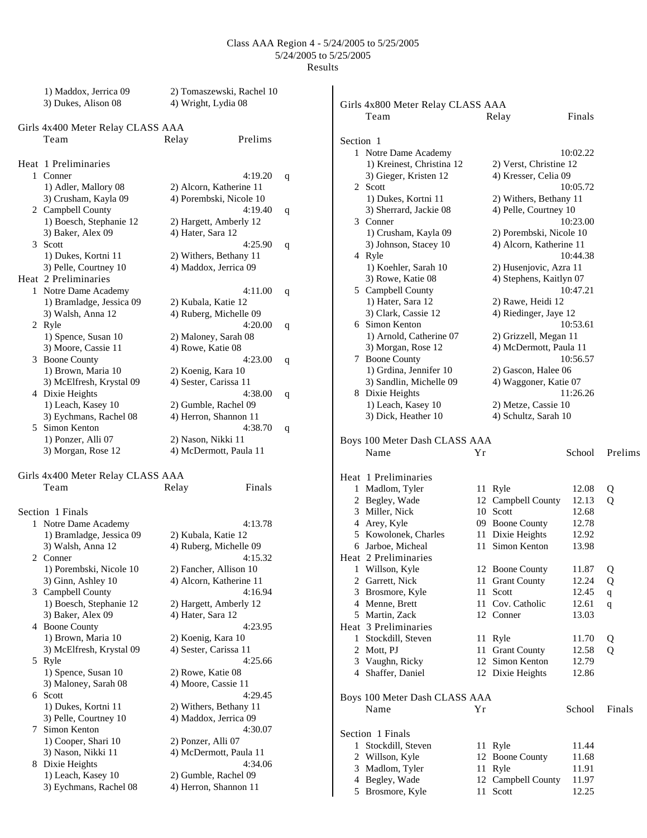|   | 1) Maddox, Jerrica 09<br>3) Dukes, Alison 08 | 2) Tomaszewski, Rachel 10<br>4) Wright, Lydia 08 |   |
|---|----------------------------------------------|--------------------------------------------------|---|
|   | Girls 4x400 Meter Relay CLASS AAA            |                                                  |   |
|   | Team                                         | Prelims<br>Relay                                 |   |
|   | Heat 1 Preliminaries                         |                                                  |   |
| 1 | Conner                                       | 4:19.20                                          | q |
|   | 1) Adler, Mallory 08                         | 2) Alcorn, Katherine 11                          |   |
|   | 3) Crusham, Kayla 09                         | 4) Porembski, Nicole 10                          |   |
|   | 2 Campbell County                            | 4:19.40                                          | q |
|   | 1) Boesch, Stephanie 12                      | 2) Hargett, Amberly 12                           |   |
|   | 3) Baker, Alex 09                            | 4) Hater, Sara 12                                |   |
| 3 | Scott                                        | 4:25.90                                          | q |
|   | 1) Dukes, Kortni 11                          | 2) Withers, Bethany 11                           |   |
|   | 3) Pelle, Courtney 10                        | 4) Maddox, Jerrica 09                            |   |
|   | Heat 2 Preliminaries                         |                                                  |   |
| 1 | Notre Dame Academy                           | 4:11.00                                          | q |
|   | 1) Bramladge, Jessica 09                     | 2) Kubala, Katie 12                              |   |
|   | 3) Walsh, Anna 12                            | 4) Ruberg, Michelle 09                           |   |
|   | 2 Ryle                                       | 4:20.00                                          | q |
|   | 1) Spence, Susan 10                          | 2) Maloney, Sarah 08                             |   |
|   | 3) Moore, Cassie 11                          | 4) Rowe, Katie 08                                |   |
|   | 3 Boone County                               | 4:23.00                                          | q |
|   | 1) Brown, Maria 10                           | 2) Koenig, Kara 10                               |   |
|   | 3) McElfresh, Krystal 09                     | 4) Sester, Carissa 11                            |   |
|   | 4 Dixie Heights                              | 4:38.00                                          | q |
|   | 1) Leach, Kasey 10                           | 2) Gumble, Rachel 09                             |   |
|   | 3) Eychmans, Rachel 08                       | 4) Herron, Shannon 11                            |   |
| 5 | Simon Kenton                                 | 4:38.70                                          | q |
|   | 1) Ponzer, Alli 07                           | 2) Nason, Nikki 11                               |   |
|   | 3) Morgan, Rose 12                           | 4) McDermott, Paula 11                           |   |
|   | Girls 4x400 Meter Relay CLASS AAA            |                                                  |   |
|   | Team                                         | Finals<br>Relay                                  |   |
|   |                                              |                                                  |   |
|   | Section 1 Finals                             |                                                  |   |
| 1 | Notre Dame Academy                           | 4:13.78                                          |   |
|   | 1) Bramladge, Jessica 09                     | 2) Kubala, Katie 12                              |   |
|   | 3) Walsh, Anna 12                            | 4) Ruberg, Michelle 09                           |   |
|   | 2 Conner                                     | 4:15.32                                          |   |
|   | 1) Porembski, Nicole 10                      | 2) Fancher, Allison 10                           |   |
|   | 3) Ginn, Ashley 10                           | 4) Alcorn, Katherine 11                          |   |
| 3 | Campbell County                              | 4:16.94                                          |   |
|   | 1) Boesch, Stephanie 12                      | 2) Hargett, Amberly 12                           |   |
|   | 3) Baker, Alex 09                            | 4) Hater, Sara 12                                |   |
|   | 4 Boone County                               | 4:23.95                                          |   |
|   | 1) Brown, Maria 10                           | 2) Koenig, Kara 10                               |   |
|   | 3) McElfresh, Krystal 09                     | 4) Sester, Carissa 11                            |   |
| 5 | Ryle                                         | 4:25.66                                          |   |
|   | 1) Spence, Susan 10                          | 2) Rowe, Katie 08                                |   |
|   | 3) Maloney, Sarah 08                         | 4) Moore, Cassie 11                              |   |
| 6 | Scott                                        | 4:29.45                                          |   |
|   | 1) Dukes, Kortni 11                          | 2) Withers, Bethany 11                           |   |
|   | 3) Pelle, Courtney 10                        | 4) Maddox, Jerrica 09                            |   |
|   | 7 Simon Kenton                               | 4:30.07                                          |   |
|   | 1) Cooper, Shari 10<br>3) Nason, Nikki 11    | 2) Ponzer, Alli 07<br>4) McDermott, Paula 11     |   |
| 8 | Dixie Heights                                | 4:34.06                                          |   |
|   | 1) Leach, Kasey 10                           | 2) Gumble, Rachel 09                             |   |
|   | 3) Eychmans, Rachel 08                       | 4) Herron, Shannon 11                            |   |
|   |                                              |                                                  |   |

|           | Girls 4x800 Meter Relay CLASS AAA                  |          |                                                |                |             |
|-----------|----------------------------------------------------|----------|------------------------------------------------|----------------|-------------|
|           | Team                                               |          | Relay                                          | Finals         |             |
| Section 1 |                                                    |          |                                                |                |             |
|           |                                                    |          |                                                | 10:02.22       |             |
|           | 1 Notre Dame Academy                               |          |                                                |                |             |
|           | 1) Kreinest, Christina 12<br>3) Gieger, Kristen 12 |          | 2) Verst, Christine 12<br>4) Kresser, Celia 09 |                |             |
|           | 2 Scott                                            |          |                                                | 10:05.72       |             |
|           | 1) Dukes, Kortni 11                                |          | 2) Withers, Bethany 11                         |                |             |
|           | 3) Sherrard, Jackie 08                             |          | 4) Pelle, Courtney 10                          |                |             |
|           | 3 Conner                                           |          |                                                | 10:23.00       |             |
|           | 1) Crusham, Kayla 09                               |          | 2) Porembski, Nicole 10                        |                |             |
|           | 3) Johnson, Stacey 10                              |          | 4) Alcorn, Katherine 11                        |                |             |
|           | 4 Ryle                                             |          |                                                | 10:44.38       |             |
|           | 1) Koehler, Sarah 10                               |          | 2) Husenjovic, Azra 11                         |                |             |
|           | 3) Rowe, Katie 08                                  |          | 4) Stephens, Kaitlyn 07                        |                |             |
|           | 5 Campbell County                                  |          |                                                | 10:47.21       |             |
|           | 1) Hater, Sara 12                                  |          | 2) Rawe, Heidi 12                              |                |             |
|           | 3) Clark, Cassie 12                                |          | 4) Riedinger, Jaye 12                          |                |             |
|           | 6 Simon Kenton                                     |          |                                                | 10:53.61       |             |
|           | 1) Arnold, Catherine 07                            |          | 2) Grizzell, Megan 11                          |                |             |
|           | 3) Morgan, Rose 12                                 |          | 4) McDermott, Paula 11                         |                |             |
|           | 7 Boone County                                     |          |                                                | 10:56.57       |             |
|           | 1) Grdina, Jennifer 10                             |          | 2) Gascon, Halee 06                            |                |             |
|           | 3) Sandlin, Michelle 09                            |          | 4) Waggoner, Katie 07                          |                |             |
|           | 8 Dixie Heights                                    |          |                                                | 11:26.26       |             |
|           | 1) Leach, Kasey 10                                 |          | 2) Metze, Cassie 10                            |                |             |
|           | 3) Dick, Heather 10                                |          | 4) Schultz, Sarah 10                           |                |             |
|           | Boys 100 Meter Dash CLASS AAA<br>Name              | Υr       |                                                | School         | Prelims     |
|           |                                                    |          |                                                |                |             |
|           | Heat 1 Preliminaries                               |          |                                                |                |             |
| 1         | Madlom, Tyler                                      | 11       | Ryle                                           | 12.08          | Q           |
|           | 2 Begley, Wade                                     |          | 12 Campbell County                             | 12.13          | Q           |
|           | 3 Miller, Nick                                     |          | 10 Scott                                       | 12.68          |             |
|           | 4 Arey, Kyle                                       |          | 09 Boone County                                | 12.78          |             |
|           | 5 Kowolonek, Charles                               | 11       | Dixie Heights                                  | 12.92          |             |
|           | 6 Jarboe, Micheal                                  | 11       | Simon Kenton                                   | 13.98          |             |
|           | Heat 2 Preliminaries                               |          |                                                |                |             |
| 1         | Willson, Kyle                                      | 12       | <b>Boone County</b>                            | 11.87          | Q           |
|           | 2 Garrett, Nick                                    | 11       | <b>Grant County</b>                            | 12.24          | Q           |
| 3         | Brosmore, Kyle                                     | 11<br>11 | Scott<br>Cov. Catholic                         | 12.45          | $\mathbf q$ |
|           | 4 Menne, Brett<br>5 Martin, Zack                   |          | 12 Conner                                      | 12.61<br>13.03 | $\mathbf q$ |
|           | Heat 3 Preliminaries                               |          |                                                |                |             |
|           | 1 Stockdill, Steven                                |          |                                                |                |             |
|           | 2 Mott, PJ                                         | 11<br>11 | Ryle<br><b>Grant County</b>                    | 11.70<br>12.58 | Q           |
|           | 3 Vaughn, Ricky                                    | 12       | Simon Kenton                                   | 12.79          | Q           |
|           | 4 Shaffer, Daniel                                  |          | 12 Dixie Heights                               | 12.86          |             |
|           |                                                    |          |                                                |                |             |
|           | Boys 100 Meter Dash CLASS AAA                      |          |                                                |                |             |
|           | Name                                               | Υr       |                                                | School         | Finals      |
|           |                                                    |          |                                                |                |             |
|           | Section 1 Finals                                   |          |                                                |                |             |
| 1         | Stockdill, Steven                                  | 11<br>12 | Ryle                                           | 11.44<br>11.68 |             |
|           | 2 Willson, Kyle<br>3 Madlom, Tyler                 | 11       | <b>Boone County</b><br>Ryle                    | 11.91          |             |
|           | 4 Begley, Wade                                     | 12       | Campbell County                                | 11.97          |             |
|           | 5 Brosmore, Kyle                                   | 11       | Scott                                          | 12.25          |             |
|           |                                                    |          |                                                |                |             |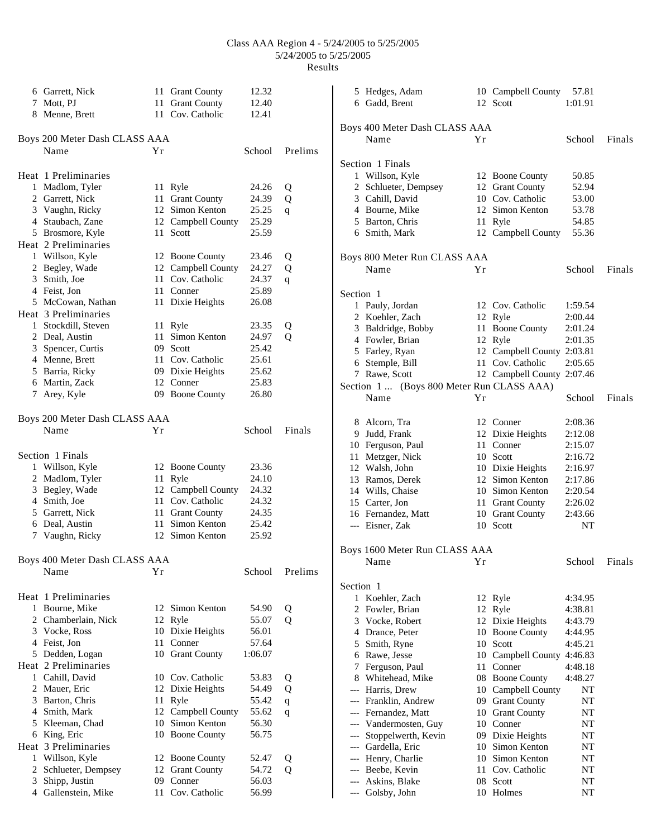|   | 6 Garrett, Nick               |     | 11 Grant County    | 12.32   |         |                                     | 5 Hedges, Adam                            |    | 10 Campbell County 57.81   |               |        |
|---|-------------------------------|-----|--------------------|---------|---------|-------------------------------------|-------------------------------------------|----|----------------------------|---------------|--------|
|   | 7 Mott, PJ                    |     | 11 Grant County    | 12.40   |         |                                     | 6 Gadd, Brent                             |    | 12 Scott                   | 1:01.91       |        |
|   | 8 Menne, Brett                |     | 11 Cov. Catholic   | 12.41   |         |                                     |                                           |    |                            |               |        |
|   |                               |     |                    |         |         |                                     | Boys 400 Meter Dash CLASS AAA             |    |                            |               |        |
|   | Boys 200 Meter Dash CLASS AAA |     |                    |         |         |                                     | Name                                      | Yr |                            | School        | Finals |
|   | Name                          | Yr  |                    | School  | Prelims |                                     |                                           |    |                            |               |        |
|   |                               |     |                    |         |         |                                     | Section 1 Finals                          |    |                            |               |        |
|   | Heat 1 Preliminaries          |     |                    |         |         |                                     | 1 Willson, Kyle                           |    | 12 Boone County            | 50.85         |        |
|   | 1 Madlom, Tyler               |     | 11 Ryle            | 24.26   | Q       |                                     | 2 Schlueter, Dempsey                      |    | 12 Grant County            | 52.94         |        |
|   | 2 Garrett, Nick               |     | 11 Grant County    | 24.39   | Q       |                                     | 3 Cahill, David                           |    | 10 Cov. Catholic           | 53.00         |        |
|   | 3 Vaughn, Ricky               |     | 12 Simon Kenton    | 25.25   | q       |                                     | 4 Bourne, Mike                            |    | 12 Simon Kenton            | 53.78         |        |
|   | 4 Staubach, Zane              |     | 12 Campbell County | 25.29   |         |                                     | 5 Barton, Chris                           |    | 11 Ryle                    | 54.85         |        |
|   | 5 Brosmore, Kyle              |     | 11 Scott           | 25.59   |         |                                     | 6 Smith, Mark                             |    | 12 Campbell County         | 55.36         |        |
|   | Heat 2 Preliminaries          |     |                    |         |         |                                     |                                           |    |                            |               |        |
|   | 1 Willson, Kyle               |     | 12 Boone County    | 23.46   | Q       |                                     | Boys 800 Meter Run CLASS AAA              |    |                            |               |        |
|   | 2 Begley, Wade                |     | 12 Campbell County | 24.27   | Q       |                                     | Name                                      | Yr |                            | School        | Finals |
|   | 3 Smith, Joe                  |     | 11 Cov. Catholic   | 24.37   | q       |                                     |                                           |    |                            |               |        |
|   | 4 Feist, Jon                  |     | 11 Conner          | 25.89   |         | Section 1                           |                                           |    |                            |               |        |
|   | 5 McCowan, Nathan             |     | 11 Dixie Heights   | 26.08   |         |                                     | 1 Pauly, Jordan                           |    | 12 Cov. Catholic           | 1:59.54       |        |
|   | Heat 3 Preliminaries          |     |                    |         |         |                                     | 2 Koehler, Zach                           |    |                            | 2:00.44       |        |
|   | 1 Stockdill, Steven           |     | 11 Ryle            | 23.35   | Q       |                                     |                                           |    | 12 Ryle<br>11 Boone County | 2:01.24       |        |
|   | 2 Deal, Austin                |     | 11 Simon Kenton    | 24.97   | Q       |                                     | 3 Baldridge, Bobby<br>4 Fowler, Brian     |    | 12 Ryle                    |               |        |
| 3 | Spencer, Curtis               |     | 09 Scott           | 25.42   |         |                                     |                                           |    | 12 Campbell County 2:03.81 | 2:01.35       |        |
|   | 4 Menne, Brett                |     | 11 Cov. Catholic   | 25.61   |         |                                     | 5 Farley, Ryan                            |    | 11 Cov. Catholic           | 2:05.65       |        |
|   | 5 Barria, Ricky               |     | 09 Dixie Heights   | 25.62   |         |                                     | 6 Stemple, Bill                           |    |                            |               |        |
|   | 6 Martin, Zack                |     | 12 Conner          | 25.83   |         |                                     | 7 Rawe, Scott                             |    | 12 Campbell County 2:07.46 |               |        |
|   | 7 Arey, Kyle                  |     | 09 Boone County    | 26.80   |         |                                     | Section 1  (Boys 800 Meter Run CLASS AAA) |    |                            |               |        |
|   |                               |     |                    |         |         |                                     | Name                                      | Yr |                            | School        | Finals |
|   | Boys 200 Meter Dash CLASS AAA |     |                    |         |         |                                     |                                           |    |                            |               |        |
|   | Name                          | Yr  |                    | School  | Finals  |                                     | 8 Alcorn, Tra                             |    | 12 Conner                  | 2:08.36       |        |
|   |                               |     |                    |         |         |                                     | 9 Judd, Frank                             |    | 12 Dixie Heights           | 2:12.08       |        |
|   |                               |     |                    |         |         |                                     | 10 Ferguson, Paul                         |    | 11 Conner                  | 2:15.07       |        |
|   | Section 1 Finals              |     |                    |         |         |                                     | 11 Metzger, Nick                          |    | 10 Scott                   | 2:16.72       |        |
|   | 1 Willson, Kyle               |     | 12 Boone County    | 23.36   |         |                                     | 12 Walsh, John                            |    | 10 Dixie Heights           | 2:16.97       |        |
|   | 2 Madlom, Tyler               |     | 11 Ryle            | 24.10   |         |                                     | 13 Ramos, Derek                           |    | 12 Simon Kenton            | 2:17.86       |        |
|   | 3 Begley, Wade                |     | 12 Campbell County | 24.32   |         |                                     | 14 Wills, Chaise                          |    | 10 Simon Kenton            | 2:20.54       |        |
|   | 4 Smith, Joe                  |     | 11 Cov. Catholic   | 24.32   |         |                                     | 15 Carter, Jon                            |    | 11 Grant County            | 2:26.02       |        |
|   | 5 Garrett, Nick               |     | 11 Grant County    | 24.35   |         |                                     | 16 Fernandez, Matt                        |    | 10 Grant County            | 2:43.66       |        |
|   | 6 Deal, Austin                |     | 11 Simon Kenton    | 25.42   |         |                                     | --- Eisner, Zak                           |    | 10 Scott                   | NT            |        |
|   | 7 Vaughn, Ricky               |     | 12 Simon Kenton    | 25.92   |         |                                     |                                           |    |                            |               |        |
|   |                               |     |                    |         |         |                                     | Boys 1600 Meter Run CLASS AAA             |    |                            |               |        |
|   | Boys 400 Meter Dash CLASS AAA |     |                    |         |         |                                     | Name                                      | Yr |                            | School Finals |        |
|   | Name                          | Yr  |                    | School  | Prelims |                                     |                                           |    |                            |               |        |
|   |                               |     |                    |         |         | Section 1                           |                                           |    |                            |               |        |
|   | Heat 1 Preliminaries          |     |                    |         |         |                                     | 1 Koehler, Zach                           |    | 12 Ryle                    | 4:34.95       |        |
|   | 1 Bourne, Mike                |     | 12 Simon Kenton    | 54.90   | Q       |                                     | 2 Fowler, Brian                           |    | 12 Ryle                    | 4:38.81       |        |
|   | 2 Chamberlain, Nick           |     | 12 Ryle            | 55.07   | Q       |                                     | 3 Vocke, Robert                           |    | 12 Dixie Heights           | 4:43.79       |        |
|   | 3 Vocke, Ross                 |     | 10 Dixie Heights   | 56.01   |         | 4                                   | Drance, Peter                             |    | 10 Boone County            | 4:44.95       |        |
|   | 4 Feist, Jon                  |     | 11 Conner          | 57.64   |         | 5                                   | Smith, Ryne                               |    | 10 Scott                   | 4:45.21       |        |
|   | 5 Dedden, Logan               |     | 10 Grant County    | 1:06.07 |         |                                     | 6 Rawe, Jesse                             |    | 10 Campbell County         | 4:46.83       |        |
|   | Heat 2 Preliminaries          |     |                    |         |         |                                     | 7 Ferguson, Paul                          |    | 11 Conner                  | 4:48.18       |        |
|   | 1 Cahill, David               |     | 10 Cov. Catholic   | 53.83   | Q       | 8                                   | Whitehead, Mike                           |    | 08 Boone County            | 4:48.27       |        |
|   | 2 Mauer, Eric                 |     | 12 Dixie Heights   | 54.49   | Q       | $\hspace{0.05cm}---\hspace{0.05cm}$ | Harris, Drew                              |    | 10 Campbell County         | NT            |        |
| 3 | Barton, Chris                 |     | 11 Ryle            | 55.42   | q       | ---                                 | Franklin, Andrew                          |    | 09 Grant County            | NT            |        |
|   | 4 Smith, Mark                 |     | 12 Campbell County | 55.62   | q       |                                     | Fernandez, Matt                           |    | 10 Grant County            | NT            |        |
| 5 | Kleeman, Chad                 |     | 10 Simon Kenton    | 56.30   |         | $---$                               | Vandermosten, Guy                         |    | 10 Conner                  | NT            |        |
|   | 6 King, Eric                  |     | 10 Boone County    | 56.75   |         | $\hspace{0.05cm}---\hspace{0.05cm}$ | Stoppelwerth, Kevin                       |    | 09 Dixie Heights           | NT            |        |
|   | Heat 3 Preliminaries          |     |                    |         |         | $\hspace{0.05cm}---\hspace{0.05cm}$ | Gardella, Eric                            | 10 | Simon Kenton               | <b>NT</b>     |        |
|   | 1 Willson, Kyle               |     | 12 Boone County    | 52.47   | Q       | $\hspace{0.05cm}---\hspace{0.05cm}$ | Henry, Charlie                            | 10 | Simon Kenton               | NT            |        |
|   | 2 Schlueter, Dempsey          |     | 12 Grant County    | 54.72   | Q       | $\hspace{0.05cm}---\hspace{0.05cm}$ | Beebe, Kevin                              | 11 | Cov. Catholic              | NT            |        |
| 3 | Shipp, Justin                 | 09. | Conner             | 56.03   |         | $\hspace{0.05cm}---\hspace{0.05cm}$ | Askins, Blake                             |    | 08 Scott                   | NT            |        |
|   | 4 Gallenstein, Mike           |     | 11 Cov. Catholic   | 56.99   |         | $---$                               | Golsby, John                              |    | 10 Holmes                  | <b>NT</b>     |        |
|   |                               |     |                    |         |         |                                     |                                           |    |                            |               |        |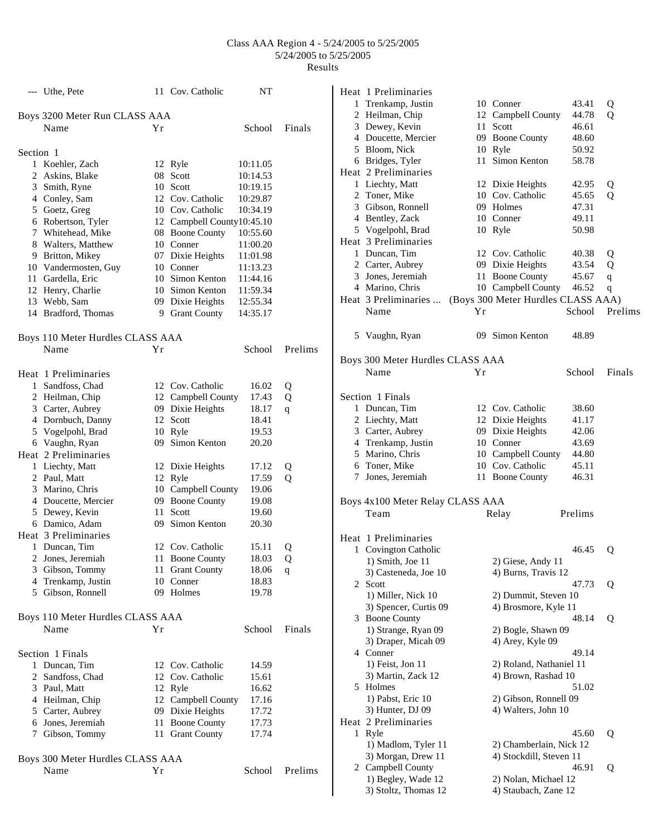|                | --- Uthe, Pete                            |    | 11 Cov. Catholic             | NΤ                   |         |
|----------------|-------------------------------------------|----|------------------------------|----------------------|---------|
|                | Boys 3200 Meter Run CLASS AAA             |    |                              |                      |         |
|                | Name                                      | Υr |                              | School               | Finals  |
|                |                                           |    |                              |                      |         |
| Section 1      |                                           |    |                              |                      |         |
| 1              | Koehler, Zach                             |    | 12 Ryle                      | 10:11.05             |         |
|                | 2 Askins, Blake                           |    | 08 Scott                     | 10:14.53             |         |
|                | 3 Smith, Ryne                             |    | 10 Scott                     | 10:19.15             |         |
|                | 4 Conley, Sam                             |    | 12 Cov. Catholic             | 10:29.87             |         |
|                | 5 Goetz, Greg                             |    | 10 Cov. Catholic             | 10:34.19             |         |
|                | 6 Robertson, Tyler                        |    | 12 Campbell County10:45.10   |                      |         |
|                | 7 Whitehead, Mike                         |    | 08 Boone County              | 10:55.60             |         |
|                | 8 Walters, Matthew                        | 07 | 10 Conner                    | 11:00.20             |         |
|                | 9 Britton, Mikey                          |    | Dixie Heights                | 11:01.98             |         |
|                | 10 Vandermosten, Guy<br>11 Gardella, Eric |    | 10 Conner<br>10 Simon Kenton | 11:13.23<br>11:44.16 |         |
|                | 12 Henry, Charlie                         |    | 10 Simon Kenton              | 11:59.34             |         |
|                | 13 Webb, Sam                              |    | 09 Dixie Heights             | 12:55.34             |         |
|                | 14 Bradford, Thomas                       |    | 9 Grant County               | 14:35.17             |         |
|                |                                           |    |                              |                      |         |
|                | Boys 110 Meter Hurdles CLASS AAA          |    |                              |                      |         |
|                | Name                                      | Υr |                              | School               | Prelims |
|                |                                           |    |                              |                      |         |
|                | Heat 1 Preliminaries                      |    |                              |                      |         |
|                | 1 Sandfoss, Chad                          |    | 12 Cov. Catholic             | 16.02                | Q       |
|                | 2 Heilman, Chip                           |    | 12 Campbell County           | 17.43                | Q       |
|                | 3 Carter, Aubrey                          |    | 09 Dixie Heights             | 18.17                | q       |
|                | 4 Dornbuch, Danny                         |    | 12 Scott                     | 18.41                |         |
|                | 5 Vogelpohl, Brad                         |    | 10 Ryle                      | 19.53                |         |
|                | 6 Vaughn, Ryan                            | 09 | Simon Kenton                 | 20.20                |         |
|                | Heat 2 Preliminaries                      |    |                              |                      |         |
|                | 1 Liechty, Matt                           |    | 12 Dixie Heights             | 17.12                | Q       |
|                | 2 Paul, Matt                              |    | 12 Ryle                      | 17.59                | Q       |
|                | 3 Marino, Chris                           | 10 | Campbell County              | 19.06                |         |
|                | 4 Doucette, Mercier                       | 09 | <b>Boone County</b>          | 19.08                |         |
|                | 5 Dewey, Kevin                            | 11 | Scott                        | 19.60                |         |
|                | 6 Damico, Adam                            |    | 09 Simon Kenton              | 20.30                |         |
|                | Heat 3 Preliminaries                      |    |                              |                      |         |
| 1              | Duncan, Tim                               |    | 12 Cov. Catholic             | 15.11                | Q       |
| $\overline{2}$ | Jones, Jeremiah                           | 11 | <b>Boone County</b>          | 18.03                | Q       |
|                | 3 Gibson, Tommy                           | 11 | <b>Grant County</b>          | 18.06                | q       |
|                | 4 Trenkamp, Justin                        |    | 10 Conner                    | 18.83                |         |
|                | 5 Gibson, Ronnell                         |    | 09 Holmes                    | 19.78                |         |
|                |                                           |    |                              |                      |         |
|                | Boys 110 Meter Hurdles CLASS AAA<br>Name  | Υr |                              | School               | Finals  |
|                |                                           |    |                              |                      |         |
|                | Section 1 Finals                          |    |                              |                      |         |
| 1              | Duncan, Tim                               |    | 12 Cov. Catholic             | 14.59                |         |
|                | 2 Sandfoss, Chad                          |    | 12 Cov. Catholic             | 15.61                |         |
|                | 3 Paul, Matt                              |    | 12 Ryle                      | 16.62                |         |
|                | 4 Heilman, Chip                           |    | 12 Campbell County           | 17.16                |         |
|                | 5 Carter, Aubrey                          |    | 09 Dixie Heights             | 17.72                |         |
|                | 6 Jones, Jeremiah                         | 11 | <b>Boone County</b>          | 17.73                |         |
|                | 7 Gibson, Tommy                           | 11 | <b>Grant County</b>          | 17.74                |         |
|                |                                           |    |                              |                      |         |
|                | Boys 300 Meter Hurdles CLASS AAA          |    |                              |                      |         |
|                | Name                                      | Yr |                              | School               | Prelims |

|   | Heat 1 Preliminaries             |    |                                    |         |             |
|---|----------------------------------|----|------------------------------------|---------|-------------|
|   | 1 Trenkamp, Justin               |    | 10 Conner                          | 43.41   | Q           |
|   | 2 Heilman, Chip                  |    | 12 Campbell County                 | 44.78   | Q           |
|   | 3 Dewey, Kevin                   |    | 11 Scott                           | 46.61   |             |
|   | 4 Doucette, Mercier              |    | 09 Boone County                    | 48.60   |             |
|   | 5 Bloom, Nick                    |    | 10 Ryle                            | 50.92   |             |
|   | 6 Bridges, Tyler                 |    | 11 Simon Kenton                    | 58.78   |             |
|   | Heat 2 Preliminaries             |    |                                    |         |             |
|   | 1 Liechty, Matt                  |    | 12 Dixie Heights                   | 42.95   | Q           |
|   | 2 Toner, Mike                    |    | 10 Cov. Catholic                   | 45.65   | Q           |
|   | 3 Gibson, Ronnell                |    | 09 Holmes                          | 47.31   |             |
|   | 4 Bentley, Zack                  |    | 10 Conner                          | 49.11   |             |
|   | 5 Vogelpohl, Brad                |    | 10 Ryle                            | 50.98   |             |
|   | Heat 3 Preliminaries             |    |                                    |         |             |
|   | 1 Duncan, Tim                    |    | 12 Cov. Catholic                   | 40.38   | Q           |
|   | 2 Carter, Aubrey                 |    | 09 Dixie Heights                   | 43.54   | Q           |
|   | 3 Jones, Jeremiah                |    | 11 Boone County                    | 45.67   | $\mathbf q$ |
|   | 4 Marino, Chris                  |    | 10 Campbell County                 | 46.52   | q           |
|   | Heat 3 Preliminaries             |    | (Boys 300 Meter Hurdles CLASS AAA) |         |             |
|   | Name                             | Yr |                                    | School  | Prelims     |
|   |                                  |    |                                    |         |             |
|   | 5 Vaughn, Ryan                   |    | 09 Simon Kenton                    | 48.89   |             |
|   |                                  |    |                                    |         |             |
|   | Boys 300 Meter Hurdles CLASS AAA |    |                                    |         |             |
|   | Name                             | Yr |                                    | School  | Finals      |
|   |                                  |    |                                    |         |             |
|   | Section 1 Finals                 |    |                                    |         |             |
|   | 1 Duncan, Tim                    |    | 12 Cov. Catholic                   | 38.60   |             |
|   | 2 Liechty, Matt                  |    | 12 Dixie Heights                   | 41.17   |             |
|   | 3 Carter, Aubrey                 |    | 09 Dixie Heights                   | 42.06   |             |
|   | 4 Trenkamp, Justin               |    | 10 Conner                          | 43.69   |             |
|   | 5 Marino, Chris                  |    | 10 Campbell County                 | 44.80   |             |
|   | 6 Toner, Mike                    |    | 10 Cov. Catholic                   | 45.11   |             |
|   | 7 Jones, Jeremiah                |    | 11 Boone County                    | 46.31   |             |
|   |                                  |    |                                    |         |             |
|   | Boys 4x100 Meter Relay CLASS AAA |    |                                    |         |             |
|   | Team                             |    | Relay                              | Prelims |             |
|   |                                  |    |                                    |         |             |
|   | Heat 1 Preliminaries             |    |                                    |         |             |
|   | 1 Covington Catholic             |    |                                    | 46.45   | Q           |
|   | 1) Smith, Joe 11                 |    | 2) Giese, Andy 11                  |         |             |
|   | 3) Casteneda, Joe 10             |    | 4) Burns, Travis 12                |         |             |
|   | 2 Scott                          |    |                                    | 47.73   | Q           |
|   | 1) Miller, Nick 10               |    | 2) Dummit, Steven 10               |         |             |
|   | 3) Spencer, Curtis 09            |    | 4) Brosmore, Kyle 11               |         |             |
|   | 3 Boone County                   |    |                                    | 48.14   | Q           |
|   | 1) Strange, Ryan 09              |    | 2) Bogle, Shawn 09                 |         |             |
|   | 3) Draper, Micah 09              |    | 4) Arey, Kyle 09                   |         |             |
|   | 4 Conner                         |    |                                    | 49.14   |             |
|   | 1) Feist, Jon 11                 |    | 2) Roland, Nathaniel 11            |         |             |
|   | 3) Martin, Zack 12               |    | 4) Brown, Rashad 10                |         |             |
|   | 5 Holmes                         |    |                                    | 51.02   |             |
|   | 1) Pabst, Eric 10                |    | 2) Gibson, Ronnell 09              |         |             |
|   | 3) Hunter, DJ 09                 |    | 4) Walters, John 10                |         |             |
|   | Heat 2 Preliminaries             |    |                                    |         |             |
| 1 | Ryle                             |    |                                    | 45.60   | Q           |
|   | 1) Madlom, Tyler 11              |    | 2) Chamberlain, Nick 12            |         |             |
|   | 3) Morgan, Drew 11               |    | 4) Stockdill, Steven 11            |         |             |
|   | 2 Campbell County                |    |                                    | 46.91   | Q           |
|   | 1) Begley, Wade 12               |    | 2) Nolan, Michael 12               |         |             |
|   | 3) Stoltz, Thomas 12             |    | 4) Staubach, Zane 12               |         |             |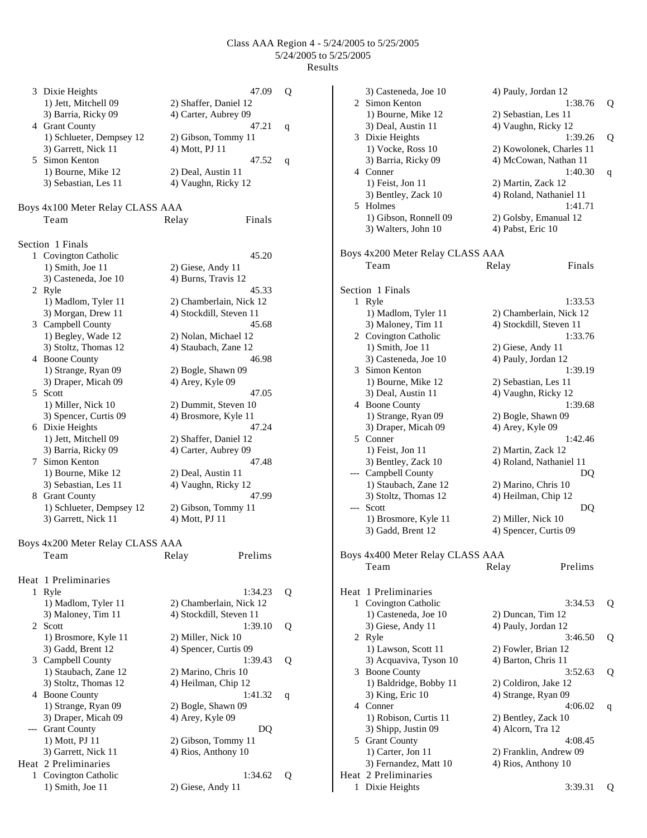|   | 3 Dixie Heights                            | 47.09                                  | Q |
|---|--------------------------------------------|----------------------------------------|---|
|   | 1) Jett, Mitchell 09                       | 2) Shaffer, Daniel 12                  |   |
|   | 3) Barria, Ricky 09                        | 4) Carter, Aubrey 09                   |   |
|   | 4 Grant County                             | 47.21                                  | q |
|   | 1) Schlueter, Dempsey 12                   | 2) Gibson, Tommy 11                    |   |
|   | 3) Garrett, Nick 11<br>5 Simon Kenton      | 4) Mott, PJ 11<br>47.52                |   |
|   | 1) Bourne, Mike 12                         | 2) Deal, Austin 11                     | q |
|   | 3) Sebastian, Les 11                       | 4) Vaughn, Ricky 12                    |   |
|   |                                            |                                        |   |
|   | Boys 4x100 Meter Relay CLASS AAA           |                                        |   |
|   | Team                                       | Finals<br>Relay                        |   |
|   |                                            |                                        |   |
|   | Section 1 Finals                           |                                        |   |
|   | 1 Covington Catholic                       | 45.20                                  |   |
|   | 1) Smith, Joe 11                           | 2) Giese, Andy 11                      |   |
|   | 3) Casteneda, Joe 10                       | 4) Burns, Travis 12                    |   |
|   | 2 Ryle<br>1) Madlom, Tyler 11              | 45.33<br>2) Chamberlain, Nick 12       |   |
|   | 3) Morgan, Drew 11                         | 4) Stockdill, Steven 11                |   |
|   | 3 Campbell County                          | 45.68                                  |   |
|   | 1) Begley, Wade 12                         | 2) Nolan, Michael 12                   |   |
|   | 3) Stoltz, Thomas 12                       | 4) Staubach, Zane 12                   |   |
|   | 4 Boone County                             | 46.98                                  |   |
|   | 1) Strange, Ryan 09                        | 2) Bogle, Shawn 09                     |   |
|   | 3) Draper, Micah 09                        | 4) Arey, Kyle 09                       |   |
|   | 5 Scott                                    | 47.05                                  |   |
|   | 1) Miller, Nick 10                         | 2) Dummit, Steven 10                   |   |
|   | 3) Spencer, Curtis 09<br>6 Dixie Heights   | 4) Brosmore, Kyle 11<br>47.24          |   |
|   | 1) Jett, Mitchell 09                       | 2) Shaffer, Daniel 12                  |   |
|   | 3) Barria, Ricky 09                        | 4) Carter, Aubrey 09                   |   |
| 7 | Simon Kenton                               | 47.48                                  |   |
|   | 1) Bourne, Mike 12                         | 2) Deal, Austin 11                     |   |
|   | 3) Sebastian, Les 11                       | 4) Vaughn, Ricky 12                    |   |
|   | 8 Grant County                             | 47.99                                  |   |
|   | 1) Schlueter, Dempsey 12                   | 2) Gibson, Tommy 11                    |   |
|   | 3) Garrett, Nick 11                        | 4) Mott, PJ 11                         |   |
|   |                                            |                                        |   |
|   | Boys 4x200 Meter Relay CLASS AAA           |                                        |   |
|   | Team                                       | Prelims<br>Relay                       |   |
|   | Heat 1 Preliminaries                       |                                        |   |
| 1 | Ryle                                       | 1:34.23                                | Q |
|   | 1) Madlom, Tyler 11                        | 2) Chamberlain, Nick 12                |   |
|   | 3) Maloney, Tim 11                         | 4) Stockdill, Steven 11                |   |
| 2 | Scott                                      | 1:39.10                                | Q |
|   | 1) Brosmore, Kyle 11                       | 2) Miller, Nick 10                     |   |
|   | 3) Gadd, Brent 12                          | 4) Spencer, Curtis 09                  |   |
|   | 3 Campbell County                          | 1:39.43                                | Q |
|   | 1) Staubach, Zane 12                       | 2) Marino, Chris 10                    |   |
|   | 3) Stoltz, Thomas 12                       | 4) Heilman, Chip 12                    |   |
|   | 4 Boone County                             | 1:41.32                                | q |
|   | 1) Strange, Ryan 09<br>3) Draper, Micah 09 | 2) Bogle, Shawn 09<br>4) Arey, Kyle 09 |   |
|   | --- Grant County                           | DQ                                     |   |
|   | 1) Mott, PJ 11                             | 2) Gibson, Tommy 11                    |   |
|   | 3) Garrett, Nick 11                        | 4) Rios, Anthony 10                    |   |
|   | Heat 2 Preliminaries                       |                                        |   |
| 1 | Covington Catholic                         | 1:34.62                                | Q |
|   | 1) Smith, Joe 11                           | 2) Giese, Andy 11                      |   |

|                                  | 3) Casteneda, Joe 10             | 4) Pauly, Jordan 12      |         |   |  |
|----------------------------------|----------------------------------|--------------------------|---------|---|--|
|                                  | 2 Simon Kenton                   |                          | 1:38.76 | Q |  |
|                                  | 1) Bourne, Mike 12               | 2) Sebastian, Les 11     |         |   |  |
|                                  | 3) Deal, Austin 11               | 4) Vaughn, Ricky 12      |         |   |  |
|                                  | 3 Dixie Heights                  |                          | 1:39.26 | Q |  |
|                                  | 1) Vocke, Ross 10                | 2) Kowolonek, Charles 11 |         |   |  |
|                                  | 3) Barria, Ricky 09              | 4) McCowan, Nathan 11    |         |   |  |
|                                  | 4 Conner                         |                          | 1:40.30 | q |  |
|                                  | 1) Feist, Jon 11                 | 2) Martin, Zack 12       |         |   |  |
|                                  | 3) Bentley, Zack 10              | 4) Roland, Nathaniel 11  |         |   |  |
| 5                                | Holmes                           |                          | 1:41.71 |   |  |
|                                  | 1) Gibson, Ronnell 09            | 2) Golsby, Emanual 12    |         |   |  |
|                                  | 3) Walters, John 10              | 4) Pabst, Eric 10        |         |   |  |
|                                  |                                  |                          |         |   |  |
| Boys 4x200 Meter Relay CLASS AAA |                                  |                          |         |   |  |
|                                  | Team                             | Relay                    | Finals  |   |  |
|                                  |                                  |                          |         |   |  |
|                                  |                                  |                          |         |   |  |
|                                  | Section 1 Finals                 |                          |         |   |  |
|                                  | 1 Ryle                           |                          | 1:33.53 |   |  |
|                                  | 1) Madlom, Tyler 11              | 2) Chamberlain, Nick 12  |         |   |  |
|                                  | 3) Maloney, Tim 11               | 4) Stockdill, Steven 11  |         |   |  |
|                                  | 2 Covington Catholic             |                          | 1:33.76 |   |  |
|                                  | 1) Smith, Joe 11                 | 2) Giese, Andy 11        |         |   |  |
|                                  | 3) Casteneda, Joe 10             | 4) Pauly, Jordan 12      |         |   |  |
|                                  | 3 Simon Kenton                   |                          | 1:39.19 |   |  |
|                                  | 1) Bourne, Mike 12               | 2) Sebastian, Les 11     |         |   |  |
|                                  | 3) Deal, Austin 11               | 4) Vaughn, Ricky 12      |         |   |  |
|                                  | 4 Boone County                   |                          | 1:39.68 |   |  |
|                                  | 1) Strange, Ryan 09              | 2) Bogle, Shawn 09       |         |   |  |
|                                  | 3) Draper, Micah 09              | 4) Arey, Kyle 09         |         |   |  |
|                                  | 5 Conner                         |                          | 1:42.46 |   |  |
|                                  | 1) Feist, Jon 11                 | 2) Martin, Zack 12       |         |   |  |
|                                  | 3) Bentley, Zack 10              | 4) Roland, Nathaniel 11  |         |   |  |
|                                  | --- Campbell County              |                          | DQ      |   |  |
|                                  | 1) Staubach, Zane 12             | 2) Marino, Chris 10      |         |   |  |
|                                  | 3) Stoltz, Thomas 12             | 4) Heilman, Chip 12      |         |   |  |
| ---                              | Scott                            |                          | DQ      |   |  |
|                                  | 1) Brosmore, Kyle 11             | 2) Miller, Nick 10       |         |   |  |
|                                  | 3) Gadd, Brent 12                | 4) Spencer, Curtis 09    |         |   |  |
|                                  |                                  |                          |         |   |  |
|                                  | Boys 4x400 Meter Relay CLASS AAA |                          |         |   |  |
|                                  | Team                             | Relay                    | Prelims |   |  |
|                                  |                                  |                          |         |   |  |
|                                  | Heat 1 Preliminaries             |                          |         |   |  |
| 1                                | Covington Catholic               |                          | 3:34.53 | Q |  |
|                                  | 1) Casteneda, Joe 10             | 2) Duncan, Tim 12        |         |   |  |
|                                  | 3) Giese, Andy 11                | 4) Pauly, Jordan 12      |         |   |  |
|                                  | 2 Ryle                           |                          | 3:46.50 | Q |  |
|                                  | 1) Lawson, Scott 11              | 2) Fowler, Brian 12      |         |   |  |
|                                  | 3) Acquaviva, Tyson 10           | 4) Barton, Chris 11      |         |   |  |
|                                  | 3 Boone County                   |                          | 3:52.63 | Q |  |
|                                  | 1) Baldridge, Bobby 11           | 2) Coldiron, Jake 12     |         |   |  |
|                                  | 3) King, Eric 10                 | 4) Strange, Ryan 09      |         |   |  |
|                                  | 4 Conner                         |                          | 4:06.02 | q |  |
|                                  | 1) Robison, Curtis 11            | 2) Bentley, Zack 10      |         |   |  |
|                                  | 3) Shipp, Justin 09              | 4) Alcorn, Tra 12        |         |   |  |
| 5                                | <b>Grant County</b>              |                          | 4:08.45 |   |  |
|                                  | 1) Carter, Jon 11                | 2) Franklin, Andrew 09   |         |   |  |
|                                  | 3) Fernandez, Matt 10            | 4) Rios, Anthony 10      |         |   |  |
|                                  | Heat 2 Preliminaries             |                          |         |   |  |
| 1                                | Dixie Heights                    |                          | 3:39.31 | Q |  |
|                                  |                                  |                          |         |   |  |